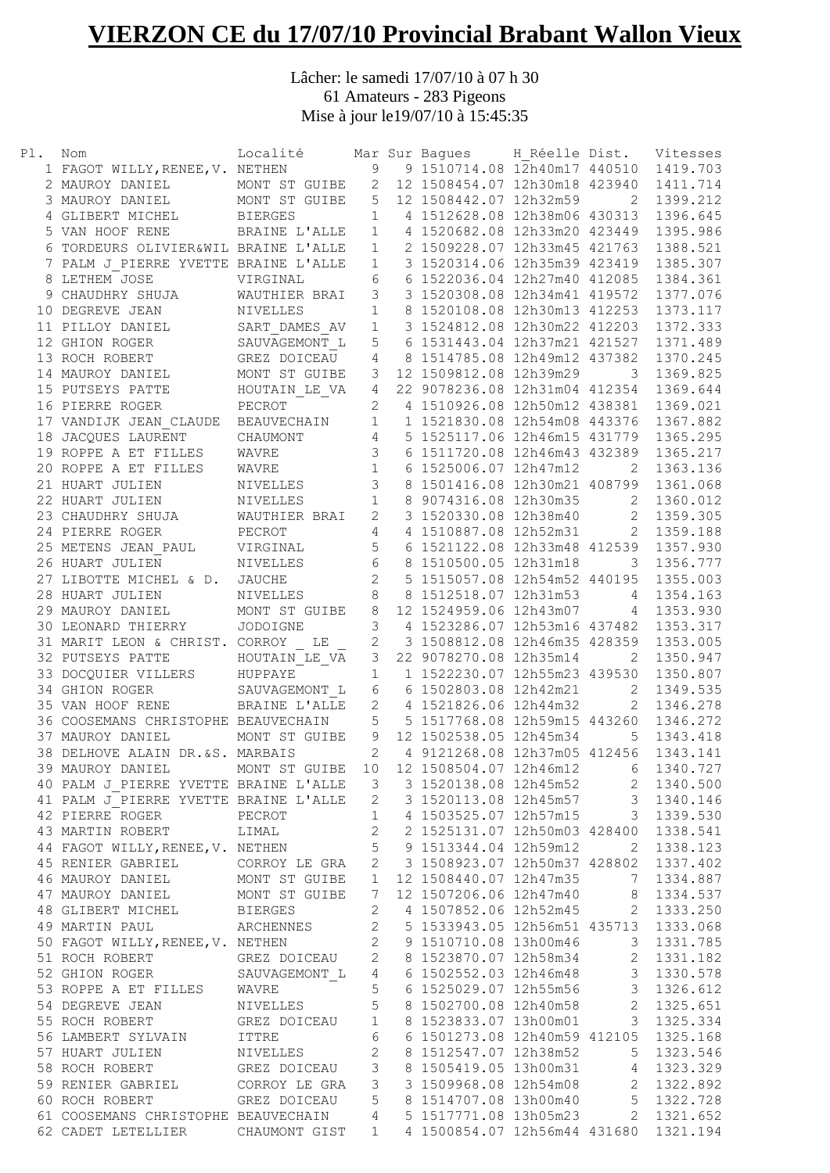## **VIERZON CE du 17/07/10 Provincial Brabant Wallon Vieux**

Lâcher: le samedi 17/07/10 à 07 h 30 61 Amateurs - 283 Pigeons Mise à jour le19/07/10 à 15:45:35

| Pl. | Nom                                                                                                                                                                                                                                                        | Localité Mar Sur Bagues H Réelle Dist. Vitesses<br>NETHEN 9 9 1510714.08 12h40m17 440510 1419.703 |                 |       |                                                                                    |                |            |
|-----|------------------------------------------------------------------------------------------------------------------------------------------------------------------------------------------------------------------------------------------------------------|---------------------------------------------------------------------------------------------------|-----------------|-------|------------------------------------------------------------------------------------|----------------|------------|
|     | 1 FAGOT WILLY, RENEE, V. NETHEN                                                                                                                                                                                                                            |                                                                                                   |                 |       |                                                                                    |                |            |
|     | 2 MAUROY DANIEL MONT ST GUIBE 2 12 1508454.07 12h30m18 423940<br>3 MAUROY DANIEL MONT ST GUIBE 5 12 1508442.07 12h32m59 2                                                                                                                                  |                                                                                                   |                 |       |                                                                                    |                | 1411.714   |
|     |                                                                                                                                                                                                                                                            |                                                                                                   |                 |       |                                                                                    |                | 1399.212   |
|     | 4 GLIBERT MICHEL BIERGES                                                                                                                                                                                                                                   |                                                                                                   | $\mathbf{1}$    |       | 4 1512628.08 12h38m06 430313                                                       |                | 1396.645   |
|     | 5 VAN HOOF RENE BRAINE L'ALLE                                                                                                                                                                                                                              |                                                                                                   | $\mathbf{1}$    |       | 4 1520682.08 12h33m20 423449                                                       |                | 1395.986   |
|     |                                                                                                                                                                                                                                                            |                                                                                                   |                 |       | 2 1509228.07 12h33m45 421763                                                       |                | 1388.521   |
|     |                                                                                                                                                                                                                                                            |                                                                                                   |                 |       | 3 1520314.06 12h35m39 423419                                                       |                | 1385.307   |
|     |                                                                                                                                                                                                                                                            |                                                                                                   |                 |       | 6 1522036.04 12h27m40 412085                                                       |                | 1384.361   |
|     |                                                                                                                                                                                                                                                            |                                                                                                   |                 |       | 3 1520308.08 12h34m41 419572 1377.076                                              |                |            |
|     | 10 DEGREVE JEAN                                                                                                                                                                                                                                            |                                                                                                   |                 |       | 8 1520108.08 12h30m13 412253 1373.117                                              |                |            |
|     | 11 PILLOY DANIEL                                                                                                                                                                                                                                           |                                                                                                   |                 |       | 3 1524812.08 12h30m22 412203 1372.333                                              |                |            |
|     | VAN HOURT CORPEURS ONLY A TORDEURS ONLY A RALM JOSE WIRGIN A SAUTHER BRAIN SHOW WAUTHER BRAIN THE SART DAMES AVAIL A SAUVAGEMONT LAND CAREZ DOICEAU<br>12 GHION ROGER                                                                                      |                                                                                                   |                 |       | 5 6 1531443.04 12h37m21 421527                                                     |                | 1371.489   |
|     | 13 ROCH ROBERT                                                                                                                                                                                                                                             |                                                                                                   |                 |       | 4 8 1514785.08 12h49m12 437382                                                     |                | 1370.245   |
|     | 14 MAUROY DANIEL                                                                                                                                                                                                                                           |                                                                                                   | 3 <sup>7</sup>  |       | 12 1509812.08 12h39m29                                                             | $\mathcal{S}$  | 1369.825   |
|     | 15 PUTSEYS PATTE                                                                                                                                                                                                                                           | HOUTAIN LE VA                                                                                     | $4\overline{ }$ |       | 22 9078236.08 12h31m04 412354                                                      |                | 1369.644   |
|     | 16 PIERRE ROGER                                                                                                                                                                                                                                            | PECROT                                                                                            | $\overline{2}$  |       | 4 1510926.08 12h50m12 438381                                                       |                | 1369.021   |
|     | 17 VANDIJK JEAN_CLAUDE BEAUVECHAIN 1 1 1521830.08 12h54m08 443376 1367.882                                                                                                                                                                                 |                                                                                                   |                 |       |                                                                                    |                |            |
|     |                                                                                                                                                                                                                                                            | CHAUMONT                                                                                          |                 |       | 2 288/ 1507.00 12002000 1433/6 1367.882<br>4 5 1525117.06 12h46m15 431779 1365.295 |                |            |
|     |                                                                                                                                                                                                                                                            | WAVRE                                                                                             |                 |       | 3 6 1511720.08 12h46m43 432389 1365.217                                            |                |            |
|     | 18 JACQUES LAURENT<br>19 ROPPE A ET FILLES<br>20 ROPPE A ET FILLES                                                                                                                                                                                         | WAVRE                                                                                             | $\overline{1}$  |       | 6 1525006.07 12h47m12                                                              | $\overline{2}$ | 1363.136   |
|     | 21 HUART JULIEN                                                                                                                                                                                                                                            | NIVELLES                                                                                          |                 |       | 3 8 1501416.08 12h30m21 408799                                                     |                | 1361.068   |
|     | 22 HUART JULIEN                                                                                                                                                                                                                                            | NIVELLES 1                                                                                        |                 |       | 8 9074316.08 12h30m35 2                                                            |                | 1360.012   |
|     | 23 CHAUDHRY SHUJA WAUTHIER BRAI                                                                                                                                                                                                                            |                                                                                                   |                 |       | 2 3 1520330.08 12h38m40 2                                                          |                | 1359.305   |
|     | 24 PIERRE ROGER<br>PECROT                                                                                                                                                                                                                                  |                                                                                                   |                 |       | 4  4  1510887.08  12h52m31  2                                                      |                | 1359.188   |
|     | 25 METENS JEAN_PAUL VIRGINAL                                                                                                                                                                                                                               |                                                                                                   |                 | $5 -$ | 6 1521122.08 12h33m48 412539                                                       |                | 1357.930   |
|     | 26 HUART JULIEN                                                                                                                                                                                                                                            | NIVELLES                                                                                          |                 |       | 6 8 1510500.05 12h31m18 3 1356.777                                                 |                |            |
|     | 27 LIBOTTE MICHEL & D. JAUCHE                                                                                                                                                                                                                              |                                                                                                   | $\overline{2}$  |       | 5 1515057.08 12h54m52 440195 1355.003                                              |                |            |
|     | 28 HUART JULIEN                                                                                                                                                                                                                                            | NIVELLES                                                                                          |                 |       | 8 8 1512518.07 12h31m53 4 1354.163                                                 |                |            |
|     | 29 MAUROY DANIEL MONT ST GUIBE                                                                                                                                                                                                                             |                                                                                                   | 8               |       | 12 1524959.06 12h43m07 4 1353.930                                                  |                |            |
|     | 30 LEONARD THIERRY JODOIGNE                                                                                                                                                                                                                                |                                                                                                   |                 |       | 3 4 1523286.07 12h53m16 437482 1353.317                                            |                |            |
|     | 31 MARIT LEON & CHRIST. CORROY LE                                                                                                                                                                                                                          |                                                                                                   |                 |       | 2 3 1508812.08 12h46m35 428359                                                     |                | 1353.005   |
|     | 32 PUTSEYS PATTE                                                                                                                                                                                                                                           | HOUTAIN_LE_VA                                                                                     | 3 <sup>7</sup>  |       | 22 9078270.08 12h35m14                                                             | 2              | 1350.947   |
|     | 33 DOCQUIER VILLERS HUPPAYE                                                                                                                                                                                                                                |                                                                                                   | $\,1$           |       | 1 1522230.07 12h55m23 439530                                                       |                | 1350.807   |
|     | 34 GHION ROGER                                                                                                                                                                                                                                             | $\begin{array}{c} \texttt{SAUVAGEMONT\_L} \end{array}$                                            |                 |       | 6 6 1502803.08 12h42m21 2                                                          |                | 1349.535   |
|     | 35 VAN HOOF RENE                                                                                                                                                                                                                                           | BRAINE L'ALLE                                                                                     |                 |       | 2 4 1521826.06 12h44m32                                                            |                | 2 1346.278 |
|     | 36 COOSEMANS CHRISTOPHE BEAUVECHAIN                                                                                                                                                                                                                        |                                                                                                   |                 |       | 5 5 1517768.08 12h59m15 443260 1346.272                                            |                |            |
|     | 37 MAUROY DANIEL                                                                                                                                                                                                                                           | MONT ST GUIBE 9 12 1502538.05 12h45m34                                                            |                 |       |                                                                                    |                | 5 1343.418 |
|     | 38 DELHOVE ALAIN DR. &S. MARBAIS                                                                                                                                                                                                                           |                                                                                                   |                 |       | 2  4  9121268.08  12h37m05  412456  1343.141                                       |                |            |
|     | 39 MAUROY DANIEL MONT ST GUIBE 10 12 1508504.07 12h46m12 6 1340.727                                                                                                                                                                                        |                                                                                                   |                 |       |                                                                                    |                |            |
|     | 40 PALM J_PIERRE YVETTE BRAINE L'ALLE 3 3 1520138.08 12h45m52 2 1340.500                                                                                                                                                                                   |                                                                                                   |                 |       |                                                                                    |                |            |
|     |                                                                                                                                                                                                                                                            |                                                                                                   |                 |       |                                                                                    |                |            |
|     | 41 PALM J_PIERRE YVETTE BRAINE L'ALLE 2 3 1520113.08 12h45m57 3 1340.146                                                                                                                                                                                   |                                                                                                   |                 |       |                                                                                    |                |            |
|     | 42 PIERRE ROGER<br>1 4 1503525.07 12h57m15 3 1339.530                                                                                                                                                                                                      |                                                                                                   |                 |       |                                                                                    |                |            |
|     | 43 MARTIN ROBERT LIMAL 2 2 1525131.07 12h50m03 428400 1338.541                                                                                                                                                                                             |                                                                                                   |                 |       |                                                                                    |                |            |
|     | 44 FAGOT WILLY, RENEE, V. NETHEN 5 9 1513344.04 12h59m12 2 1338.123                                                                                                                                                                                        |                                                                                                   |                 |       |                                                                                    |                |            |
|     | 44 FAGOT WILLY, KENEE, V. NETHEN<br>45 RENIER GABRIEL CORROY LE GRA 2 3 1508923.07 12h50m37 428802 1337.402<br>46 MAUROY DANIEL MONT ST GUIBE 1 12 1508440.07 12h47m35 7 1334.887<br>47 MAUROY DANIEL MONT ST GUIBE 7 12 1507206.06                        |                                                                                                   |                 |       |                                                                                    |                |            |
|     |                                                                                                                                                                                                                                                            |                                                                                                   |                 |       |                                                                                    |                |            |
|     |                                                                                                                                                                                                                                                            |                                                                                                   |                 |       |                                                                                    |                |            |
|     |                                                                                                                                                                                                                                                            |                                                                                                   |                 |       |                                                                                    |                |            |
|     |                                                                                                                                                                                                                                                            |                                                                                                   |                 |       |                                                                                    |                |            |
|     |                                                                                                                                                                                                                                                            |                                                                                                   |                 |       |                                                                                    |                |            |
|     |                                                                                                                                                                                                                                                            |                                                                                                   |                 |       |                                                                                    |                |            |
|     |                                                                                                                                                                                                                                                            |                                                                                                   |                 |       |                                                                                    |                |            |
|     |                                                                                                                                                                                                                                                            |                                                                                                   |                 |       |                                                                                    |                |            |
|     |                                                                                                                                                                                                                                                            |                                                                                                   |                 |       |                                                                                    |                |            |
|     | 31 NOCH NOBER<br>52 GHION ROGER<br>53 ROPPE A ET FILLES<br>53 ROPPE A ET FILLES<br>MAVRE<br>54 DEGREVE JEAN<br>MIVELLES<br>56 1525029.07 12h55m56<br>57 HUART SYLVAIN<br>ITTRE<br>6 6 150273.08 12h40m58<br>2 1325.651<br>57 HUART JULIEN<br>MIVELLES<br>6 |                                                                                                   |                 |       |                                                                                    |                |            |
|     |                                                                                                                                                                                                                                                            |                                                                                                   |                 |       |                                                                                    |                |            |
|     |                                                                                                                                                                                                                                                            |                                                                                                   |                 |       |                                                                                    |                |            |
|     |                                                                                                                                                                                                                                                            |                                                                                                   |                 |       |                                                                                    |                |            |
|     | 59 RENIER GABRIEL CORROY LE GRA 3 3 1509968.08 12h54m08 2 1322.892                                                                                                                                                                                         |                                                                                                   |                 |       |                                                                                    |                |            |
|     | 60 ROCH ROBERT GREZ DOICEAU 5 8 1514707.08 13h00m40 5 1322.728                                                                                                                                                                                             |                                                                                                   |                 |       |                                                                                    |                |            |
|     | 61 COOSEMANS CHRISTOPHE BEAUVECHAIN 4 5 1517771.08 13h05m23 2 1321.652                                                                                                                                                                                     |                                                                                                   |                 |       |                                                                                    |                |            |
|     | 62 CADET LETELLIER  CHAUMONT GIST  1  4 1500854.07 12h56m44 431680 1321.194                                                                                                                                                                                |                                                                                                   |                 |       |                                                                                    |                |            |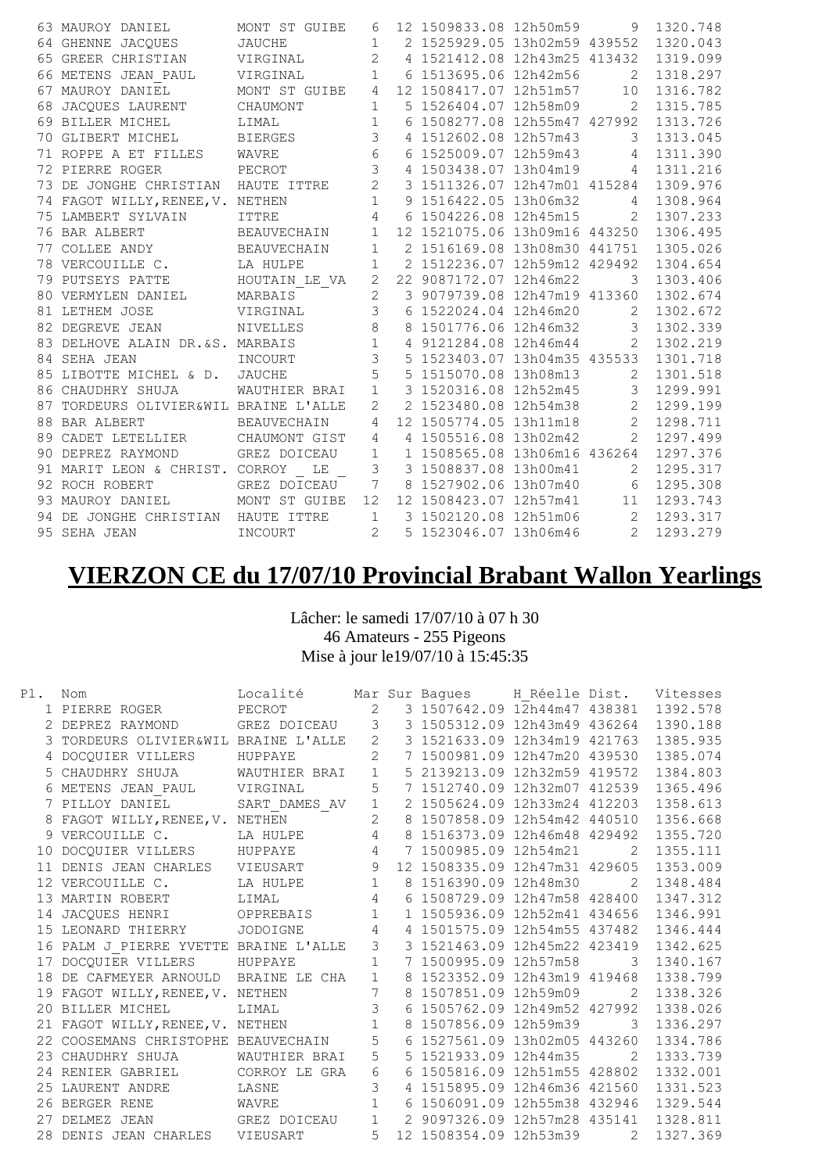|    | 63 MAUROY DANIEL                      | MONT ST GUIBE      | 6              | 12 1509833.08 12h50m59        | 9              | 1320.748 |
|----|---------------------------------------|--------------------|----------------|-------------------------------|----------------|----------|
|    | 64 GHENNE JACQUES                     | JAUCHE             | $\mathbf{1}$   | 2 1525929.05 13h02m59 439552  |                | 1320.043 |
|    | 65 GREER CHRISTIAN VIRGINAL           |                    | $\mathbf{2}$   | 4 1521412.08 12h43m25 413432  |                | 1319.099 |
|    | 66 METENS JEAN PAUL                   | VIRGINAL           | $\mathbf{1}$   | 6 1513695.06 12h42m56         | 2              | 1318.297 |
| 67 | MAUROY DANIEL                         | MONT ST GUIBE      | 4              | 12 1508417.07 12h51m57        | 10             | 1316.782 |
|    | 68 JACQUES LAURENT                    | CHAUMONT           | $\mathbf 1$    | 5 1526404.07 12h58m09         | 2              | 1315.785 |
|    | 69 BILLER MICHEL                      | LIMAL              | $\mathbf{1}$   | 6 1508277.08 12h55m47 427992  |                | 1313.726 |
|    | 70 GLIBERT MICHEL                     | <b>BIERGES</b>     | $\mathfrak{Z}$ | 4 1512602.08 12h57m43         | 3              | 1313.045 |
|    | 71 ROPPE A ET FILLES                  | WAVRE              | $6\,$          | 6 1525009.07 12h59m43 4       |                | 1311.390 |
|    | 72 PIERRE ROGER                       | PECROT             | 3              | 4 1503438.07 13h04m19 4       |                | 1311.216 |
|    | 73 DE JONGHE CHRISTIAN HAUTE ITTRE    |                    | $\mathbf{2}$   | 3 1511326.07 12h47m01 415284  |                | 1309.976 |
|    | 74 FAGOT WILLY, RENEE, V. NETHEN      |                    | $\mathbf{1}$   | 9 1516422.05 13h06m32         | $\overline{4}$ | 1308.964 |
|    | 75 LAMBERT SYLVAIN                    | <b>ITTRE</b>       | $\overline{4}$ | 6 1504226.08 12h45m15         | 2              | 1307.233 |
|    | 76 BAR ALBERT                         | <b>BEAUVECHAIN</b> | $\mathbf{1}$   | 12 1521075.06 13h09m16 443250 |                | 1306.495 |
|    | 77 COLLEE ANDY                        | <b>BEAUVECHAIN</b> | $\mathbf{1}$   | 2 1516169.08 13h08m30 441751  |                | 1305.026 |
|    | 78 VERCOUILLE C. LA HULPE             |                    | $\mathbf{1}$   | 2 1512236.07 12h59m12 429492  |                | 1304.654 |
|    | 79 PUTSEYS PATTE MOUTAIN LE VA        |                    | $\overline{2}$ | 22 9087172.07 12h46m22        | 3              | 1303.406 |
|    | 80 VERMYLEN DANIEL MARBAIS            |                    | $\overline{c}$ | 3 9079739.08 12h47m19 413360  |                | 1302.674 |
|    | 81 LETHEM JOSE                        | VIRGINAL           | $\overline{3}$ | 6 1522024.04 12h46m20         | 2              | 1302.672 |
|    | 82 DEGREVE JEAN                       | NIVELLES           | $\,8\,$        | 8 1501776.06 12h46m32 3       |                | 1302.339 |
|    | 83 DELHOVE ALAIN DR. &S. MARBAIS      |                    | $\mathbf{1}$   | 4 9121284.08 12h46m44 2       |                | 1302.219 |
|    | 84 SEHA JEAN                          | INCOURT            | 3              | 5 1523403.07 13h04m35 435533  |                | 1301.718 |
|    | 85 LIBOTTE MICHEL & D. JAUCHE         |                    | 5              | 5 1515070.08 13h08m13         | 2              | 1301.518 |
|    | 86 CHAUDHRY SHUJA                     | WAUTHIER BRAI      | $\mathbf{1}$   | 3 1520316.08 12h52m45         | 3              | 1299.991 |
|    | 87 TORDEURS OLIVIER&WIL BRAINE L'ALLE |                    | $\overline{2}$ | 2 1523480.08 12h54m38 2       |                | 1299.199 |
|    | 88 BAR ALBERT                         | BEAUVECHAIN        | $\overline{4}$ | 12 1505774.05 13h11m18 2      |                | 1298.711 |
|    | 89 CADET LETELLIER CHAUMONT GIST      |                    | $\overline{4}$ | 4 1505516.08 13h02m42         | 2              | 1297.499 |
|    | 90 DEPREZ RAYMOND                     | GREZ DOICEAU       | $\mathbf{1}$   | 1 1508565.08 13h06m16 436264  |                | 1297.376 |
|    | 91 MARIT LEON & CHRIST. CORROY        | L E                | 3              | 3 1508837.08 13h00m41         | 2              | 1295.317 |
|    | 92 ROCH ROBERT                        | GREZ DOICEAU       | $\overline{7}$ | 8 1527902.06 13h07m40         | 6              | 1295.308 |
|    | 93 MAUROY DANIEL MONT ST GUIBE        |                    | 12             | 12 1508423.07 12h57m41        | 11             | 1293.743 |
|    | 94 DE JONGHE CHRISTIAN HAUTE ITTRE    |                    | $\mathbf{1}$   | 3 1502120.08 12h51m06 2       |                | 1293.317 |
|    | 95 SEHA JEAN                          | INCOURT            | $\overline{2}$ | 5 1523046.07 13h06m46 2       |                | 1293.279 |
|    |                                       |                    |                |                               |                |          |

## **VIERZON CE du 17/07/10 Provincial Brabant Wallon Yearlings**

## Lâcher: le samedi 17/07/10 à 07 h 30 46 Amateurs - 255 Pigeons Mise à jour le19/07/10 à 15:45:35

| Pl. | Nom                                  | Localité Mar Sur Bagues H Réelle Dist. Vitesses |                |                 |                               |                          |          |
|-----|--------------------------------------|-------------------------------------------------|----------------|-----------------|-------------------------------|--------------------------|----------|
|     | 1 PIERRE ROGER                       | PECROT                                          | $\sqrt{2}$     |                 | 3 1507642.09 12h44m47 438381  |                          | 1392.578 |
|     | 2 DEPREZ RAYMOND                     | GREZ DOICEAU 3                                  |                |                 | 3 1505312.09 12h43m49 436264  |                          | 1390.188 |
|     | TORDEURS OLIVIER&WIL BRAINE L'ALLE 2 |                                                 |                |                 | 3 1521633.09 12h34m19 421763  |                          | 1385.935 |
|     | 4 DOCOUIER VILLERS                   | HUPPAYE                                         | 2              |                 | 7 1500981.09 12h47m20 439530  |                          | 1385.074 |
|     | CHAUDHRY SHUJA                       | WAUTHIER BRAI                                   | $\mathbf{1}$   |                 | 5 2139213.09 12h32m59 419572  |                          | 1384.803 |
|     | 6 METENS JEAN PAUL VIRGINAL          |                                                 | 5              |                 | 7 1512740.09 12h32m07 412539  |                          | 1365.496 |
|     | 7 PILLOY DANIEL                      | SART_DAMES_AV<br>NETHEN                         | $\mathbf{1}$   |                 | 2 1505624.09 12h33m24 412203  |                          | 1358.613 |
|     | FAGOT WILLY, RENEE, V. NETHEN        |                                                 | $\overline{c}$ |                 | 8 1507858.09 12h54m42 440510  |                          | 1356.668 |
|     | VERCOUILLE C.                        | LA HULPE                                        | $\overline{4}$ |                 | 8 1516373.09 12h46m48 429492  |                          | 1355.720 |
|     | 10 DOCQUIER VILLERS HUPPAYE          |                                                 |                | $4\overline{ }$ | 7 1500985.09 12h54m21         | 2                        | 1355.111 |
| 11  | DENIS JEAN CHARLES VIEUSART 9        |                                                 |                |                 | 12 1508335.09 12h47m31 429605 |                          | 1353.009 |
|     | 12 VERCOUILLE C.                     | LA HULPE                                        | $\mathbf{1}$   |                 | 8 1516390.09 12h48m30         | 2                        | 1348.484 |
|     | 13 MARTIN ROBERT                     | LIMAL                                           | $\overline{4}$ |                 | 6 1508729.09 12h47m58 428400  |                          | 1347.312 |
|     | 14 JACQUES HENRI OPPREBAIS           |                                                 | $\mathbf{1}$   |                 | 1 1505936.09 12h52m41 434656  |                          | 1346.991 |
|     | 15 LEONARD THIERRY JODOIGNE          |                                                 | $\overline{4}$ |                 | 4 1501575.09 12h54m55 437482  |                          | 1346.444 |
| 16  | PALM J PIERRE YVETTE BRAINE L'ALLE   |                                                 | 3              |                 | 3 1521463.09 12h45m22 423419  |                          | 1342.625 |
|     | 17 DOCOUIER VILLERS                  | HUPPAYE                                         | $\mathbf 1$    |                 | 7 1500995.09 12h57m58         | $\overline{3}$           | 1340.167 |
| 18  | DE CAFMEYER ARNOULD BRAINE LE CHA    |                                                 | $\mathbf{1}$   |                 | 8 1523352.09 12h43m19 419468  |                          | 1338.799 |
|     | 19 FAGOT WILLY, RENEE, V. NETHEN     |                                                 | 7              |                 | 8 1507851.09 12h59m09         | 2                        | 1338.326 |
| 20  | BILLER MICHEL                        | LIMAL                                           | $\mathcal{S}$  |                 | 6 1505762.09 12h49m52 427992  |                          | 1338.026 |
|     | 21 FAGOT WILLY, RENEE, V. NETHEN     |                                                 | $\mathbf{1}$   |                 | 8 1507856.09 12h59m39         | $\overline{\phantom{a}}$ | 1336.297 |
|     | 22 COOSEMANS CHRISTOPHE BEAUVECHAIN  |                                                 | 5              |                 | 6 1527561.09 13h02m05 443260  |                          | 1334.786 |
| 23  | CHAUDHRY SHUJA                       | WAUTHIER BRAI                                   | 5              |                 | 5 1521933.09 12h44m35         | 2                        | 1333.739 |
|     | 24 RENIER GABRIEL                    | CORROY LE GRA                                   | 6              |                 | 6 1505816.09 12h51m55 428802  |                          | 1332.001 |
|     | 25 LAURENT ANDRE                     | LASNE                                           | $\mathfrak{Z}$ |                 | 4 1515895.09 12h46m36 421560  |                          | 1331.523 |
|     | 26 BERGER RENE                       | WAVRE                                           | $\mathbf 1$    |                 | 6 1506091.09 12h55m38 432946  |                          | 1329.544 |
| 27  | DELMEZ JEAN                          | GREZ DOICEAU                                    | $\mathbf{1}$   |                 | 2 9097326.09 12h57m28 435141  |                          | 1328.811 |
|     | 28 DENIS JEAN CHARLES VIEUSART       |                                                 | 5              |                 | 12 1508354.09 12h53m39        | 2                        | 1327.369 |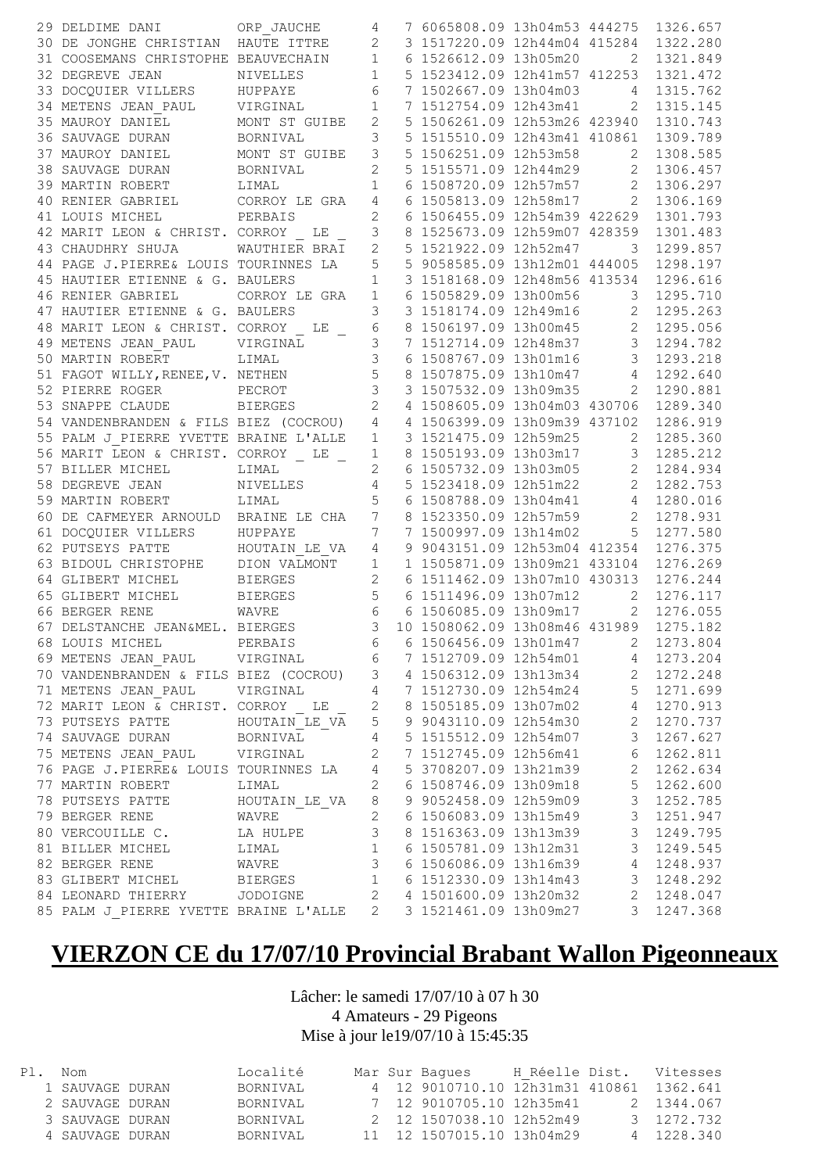| 29 DELDIME DANI                                                                                                                                                                                                                                                        | ORP JAUCHE                                                                                   | 4                        | 7 6065808.09 13h04m53 444275 1326.657                                |                         |            |
|------------------------------------------------------------------------------------------------------------------------------------------------------------------------------------------------------------------------------------------------------------------------|----------------------------------------------------------------------------------------------|--------------------------|----------------------------------------------------------------------|-------------------------|------------|
| 30 DE JONGHE CHRISTIAN HAUTE ITTRE                                                                                                                                                                                                                                     |                                                                                              | $\mathbf{2}$             | 3 1517220.09 12h44m04 415284                                         |                         | 1322.280   |
| 31 COOSEMANS CHRISTOPHE BEAUVECHAIN                                                                                                                                                                                                                                    |                                                                                              | $\mathbf{1}$             | 6 1526612.09 13h05m20                                                | 2                       | 1321.849   |
| 32 DEGREVE JEAN                                                                                                                                                                                                                                                        | NIVELLES                                                                                     | $\mathbf{1}$             | 5 1523412.09 12h41m57 412253                                         |                         | 1321.472   |
| 33 DOCQUIER VILLERS                                                                                                                                                                                                                                                    | HUPPAYE                                                                                      | $\epsilon$               | 7 1502667.09 13h04m03                                                | $4\overline{ }$         | 1315.762   |
| 34 METENS JEAN PAUL                                                                                                                                                                                                                                                    | VIRGINAL                                                                                     | $\mathbf{1}$             | 7 1512754.09 12h43m41 2                                              |                         | 1315.145   |
| 35 MAUROY DANIEL                                                                                                                                                                                                                                                       | MONT ST GUIBE                                                                                | $\mathbf{2}$             | 5 1506261.09 12h53m26 423940                                         |                         | 1310.743   |
| 36 SAUVAGE DURAN                                                                                                                                                                                                                                                       | BORNIVAL                                                                                     | 3                        | 5 1515510.09 12h43m41 410861                                         |                         | 1309.789   |
| 37 MAUROY DANIEL                                                                                                                                                                                                                                                       | MONT ST GUIBE                                                                                | 3                        | 5 1506251.09 12h53m58                                                | 2                       | 1308.585   |
| 38 SAUVAGE DURAN                                                                                                                                                                                                                                                       | BORNIVAL                                                                                     | $\overline{c}$           | 5 1515571.09 12h44m29 2                                              |                         | 1306.457   |
| 39 MARTIN ROBERT                                                                                                                                                                                                                                                       | LIMAL                                                                                        | $\mathbf{1}$             | 6 1508720.09 12h57m57 2                                              |                         | 1306.297   |
| 40 RENIER GABRIEL                                                                                                                                                                                                                                                      | CORROY LE GRA                                                                                | 4                        | 6 1505813.09 12h58m17 2                                              |                         | 1306.169   |
| 41 LOUIS MICHEL                                                                                                                                                                                                                                                        | PERBAIS                                                                                      | $\overline{c}$           | 6 1506455.09 12h54m39 422629                                         |                         | 1301.793   |
| 42 MARIT LEON & CHRIST. CORROY LE                                                                                                                                                                                                                                      |                                                                                              | 3                        | 8 1525673.09 12h59m07 428359                                         |                         | 1301.483   |
| 43 CHAUDHRY SHUJA                                                                                                                                                                                                                                                      | WAUTHIER BRAI                                                                                | $\overline{2}$           | 5 1521922.09 12h52m47                                                | 3                       | 1299.857   |
| 44 PAGE J.PIERRE& LOUIS TOURINNES LA                                                                                                                                                                                                                                   |                                                                                              | 5                        | 5 9058585.09 13h12m01 444005                                         |                         | 1298.197   |
| 45 HAUTIER ETIENNE & G. BAULERS                                                                                                                                                                                                                                        |                                                                                              | $\mathbf{1}$             | 3 1518168.09 12h48m56 413534                                         |                         | 1296.616   |
| 46 RENIER GABRIEL                                                                                                                                                                                                                                                      | CORROY LE GRA                                                                                | 1                        | 6 1505829.09 13h00m56                                                | 3 <sup>7</sup>          | 1295.710   |
| 47 HAUTIER ETIENNE & G. BAULERS                                                                                                                                                                                                                                        |                                                                                              | 3                        | 3 1518174.09 12h49m16 2                                              |                         | 1295.263   |
| 48 MARIT LEON & CHRIST. CORROY LE                                                                                                                                                                                                                                      |                                                                                              | 6                        | 8 1506197.09 13h00m45 2                                              |                         | 1295.056   |
|                                                                                                                                                                                                                                                                        | VIRGINAL                                                                                     |                          | 7 1512714.09 12h48m37                                                |                         | 1294.782   |
| 49 METENS JEAN PAUL                                                                                                                                                                                                                                                    |                                                                                              | 3<br>$\mathfrak{Z}$      |                                                                      | $\overline{\mathbf{3}}$ |            |
| 50 MARTIN ROBERT                                                                                                                                                                                                                                                       | LIMAL                                                                                        |                          | 6 1508767.09 13h01m16                                                | $\overline{\mathbf{3}}$ | 1293.218   |
| 51 FAGOT WILLY, RENEE, V. NETHEN                                                                                                                                                                                                                                       |                                                                                              | 5                        | 8 1507875.09 13h10m47                                                | $4\overline{4}$         | 1292.640   |
| 52 PIERRE ROGER<br>PECROT                                                                                                                                                                                                                                              |                                                                                              | $\mathfrak{Z}$           | 3 1507532.09 13h09m35                                                | $\overline{2}$          | 1290.881   |
| 53 SNAPPE CLAUDE                                                                                                                                                                                                                                                       | <b>BIERGES</b>                                                                               | $\sqrt{2}$               | 4 1508605.09 13h04m03 430706                                         |                         | 1289.340   |
| 54 VANDENBRANDEN & FILS BIEZ (COCROU)                                                                                                                                                                                                                                  |                                                                                              | $\overline{4}$           | 4 1506399.09 13h09m39 437102                                         |                         | 1286.919   |
| 55 PALM J PIERRE YVETTE BRAINE L'ALLE                                                                                                                                                                                                                                  |                                                                                              | $\mathbf 1$              | 3 1521475.09 12h59m25                                                | 2                       | 1285.360   |
| 56 MARIT LEON & CHRIST. CORROY LE                                                                                                                                                                                                                                      |                                                                                              | $\mathbf 1$              | 8 1505193.09 13h03m17 3                                              |                         | 1285.212   |
| 57 BILLER MICHEL                                                                                                                                                                                                                                                       | LIMAL                                                                                        | $\overline{c}$           | 6 1505732.09 13h03m05 2                                              |                         | 1284.934   |
| 58 DEGREVE JEAN NIVELLES                                                                                                                                                                                                                                               |                                                                                              | $\overline{4}$           | 5 1523418.09 12h51m22 2                                              |                         | 1282.753   |
| 59 MARTIN ROBERT LIMAL                                                                                                                                                                                                                                                 |                                                                                              | 5                        | 6 1508788.09 13h04m41 4                                              |                         | 1280.016   |
| 60 DE CAFMEYER ARNOULD BRAINE LE CHA                                                                                                                                                                                                                                   |                                                                                              | $\boldsymbol{7}$         | 8 1523350.09 12h57m59                                                | $2^{\circ}$             | 1278.931   |
| 61 DOCQUIER VILLERS<br>ERS                                                                                                                                                                                                                                             | HUPPAYE                                                                                      | $\overline{7}$           | 7 1500997.09 13h14m02 5                                              |                         | 1277.580   |
| 62 PUTSEYS PATTE                                                                                                                                                                                                                                                       | HOUTAIN LE VA                                                                                | $\sqrt{4}$               | 9 9043151.09 12h53m04 412354                                         |                         | 1276.375   |
| 63 BIDOUL CHRISTOPHE DION VALMONT                                                                                                                                                                                                                                      |                                                                                              | $\mathbf{1}$             | 1 1505871.09 13h09m21 433104                                         |                         | 1276.269   |
| 64 GLIBERT MICHEL                                                                                                                                                                                                                                                      | <b>BIERGES</b>                                                                               | $\sqrt{2}$               | 6 1511462.09 13h07m10 430313                                         |                         | 1276.244   |
| 65 GLIBERT MICHEL                                                                                                                                                                                                                                                      | <b>BIERGES</b>                                                                               | $\mathsf S$              | 6 1511496.09 13h07m12                                                | $\overline{2}$          | 1276.117   |
| 66 BERGER RENE                                                                                                                                                                                                                                                         | WAVRE                                                                                        |                          | 6 6 1506085.09 13h09m17 2                                            |                         | 1276.055   |
| 67 DELSTANCHE JEAN&MEL. BIERGES                                                                                                                                                                                                                                        |                                                                                              | 3 <sup>7</sup>           | 10 1508062.09 13h08m46 431989                                        |                         | 1275.182   |
| 68 LOUIS MICHEL PERBAIS                                                                                                                                                                                                                                                |                                                                                              |                          | 6 6 1506456.09 13h01m47 2 1273.804                                   |                         |            |
| 69 METENS JEAN PAUL VIRGINAL                                                                                                                                                                                                                                           |                                                                                              | $\sqrt{6}$               | 7 1512709.09 12h54m01 4                                              |                         | 1273.204   |
| 70 VANDENBRANDEN & FILS BIEZ (COCROU) 3 4 1506312.09 13h13m34<br>71 METENS JEAN_PAUL VIRGINAL 4 7 1512730.09 12h54m24<br>72 MARIT LEON & CHRIST. CORROY LE 2 8 1505185.09 13h07m02<br>73 PUTSEYS PATTE HOUTAIN_LE_VA 5 9 9043110.09                                    |                                                                                              |                          |                                                                      |                         |            |
|                                                                                                                                                                                                                                                                        |                                                                                              |                          | 4 1506312.09 13h13m34 2 1272.248<br>7 1512730.09 12h54m24 5 1271.699 |                         |            |
|                                                                                                                                                                                                                                                                        |                                                                                              |                          |                                                                      | $\overline{4}$          | 1270.913   |
|                                                                                                                                                                                                                                                                        |                                                                                              |                          |                                                                      | $\overline{c}$          | 1270.737   |
|                                                                                                                                                                                                                                                                        |                                                                                              |                          |                                                                      | $\overline{\mathbf{3}}$ | 1267.627   |
| 75 METENS JEAN_PAUL VIRGINAL 2                                                                                                                                                                                                                                         |                                                                                              |                          | 7 1512745.09 12h56m41 6                                              |                         | 1262.811   |
|                                                                                                                                                                                                                                                                        |                                                                                              |                          |                                                                      | $\overline{2}$          | 1262.634   |
| 76 PAGE J.PIERRE& LOUIS TOURINNES LA $\begin{array}{ccc} 4 & 5 & 3708207.09 & 13h21m39 \\ 77 & \text{MARTIN ROBERT} & \text{LIMAL} & 2 & 6 & 1508746.09 & 13h09m18 \\ 78 & \text{PUTSEYS PATH} & \text{HOUTAIN\_LE_VA} & 8 & 9 & 9052458.09 & 12h59m09 \\ \end{array}$ |                                                                                              |                          |                                                                      |                         | 5 1262.600 |
|                                                                                                                                                                                                                                                                        |                                                                                              |                          |                                                                      |                         | 3 1252.785 |
|                                                                                                                                                                                                                                                                        | WAVRE                                                                                        | $\overline{\phantom{a}}$ | 6 1506083.09 13h15m49                                                | $\mathcal{S}$           | 1251.947   |
| 79 BERGER RENE<br>80 VERCOUILLE C.                                                                                                                                                                                                                                     |                                                                                              |                          | 8 1516363.09 13h13m39                                                | $\mathcal{S}$           | 1249.795   |
| 81 BILLER MICHEL                                                                                                                                                                                                                                                       | $\begin{array}{ccc}\n\mathbb{E} & & 3 \\  & & 1 \\  & & 3\n\end{array}$<br>LA HULPE<br>LIMAL |                          | 6 1505781.09 13h12m31                                                | $\mathcal{S}$           | 1249.545   |
| 82 BERGER RENE WAVRE                                                                                                                                                                                                                                                   |                                                                                              |                          | 6 1506086.09 13h16m39                                                | $4\overline{ }$         | 1248.937   |
| 83 GLIBERT MICHEL BIERGES 1 6 1512330.09 13h14m43 3                                                                                                                                                                                                                    |                                                                                              |                          |                                                                      |                         | 1248.292   |
| 84 LEONARD THIERRY JODOIGNE 2 4 1501600.09 13h20m32 2                                                                                                                                                                                                                  |                                                                                              |                          |                                                                      |                         |            |
| 85 PALM J PIERRE YVETTE BRAINE L'ALLE                                                                                                                                                                                                                                  |                                                                                              | 2                        | 3 1521461.09 13h09m27                                                | $\mathcal{S}$           | 1248.047   |
|                                                                                                                                                                                                                                                                        |                                                                                              |                          |                                                                      |                         | 1247.368   |

## **VIERZON CE du 17/07/10 Provincial Brabant Wallon Pigeonneaux**

Lâcher: le samedi 17/07/10 à 07 h 30 4 Amateurs - 29 Pigeons Mise à jour le19/07/10 à 15:45:35

| Pl. Nom         | Localité |  | Mar Sur Baques                           | H Réelle Dist. | Vitesses   |
|-----------------|----------|--|------------------------------------------|----------------|------------|
| 1 SAUVAGE DURAN | BORNIVAL |  | 4 12 9010710.10 12h31m31 410861 1362.641 |                |            |
| 2 SAUVAGE DURAN | BORNIVAL |  |                                          |                | 2 1344.067 |
| 3 SAUVAGE DURAN | BORNIVAL |  | 2 12 1507038.10 12h52m49                 |                | 3 1272.732 |
| 4 SAUVAGE DURAN | BORNIVAL |  | 11 12 1507015.10 13h04m29                |                | 4 1228.340 |